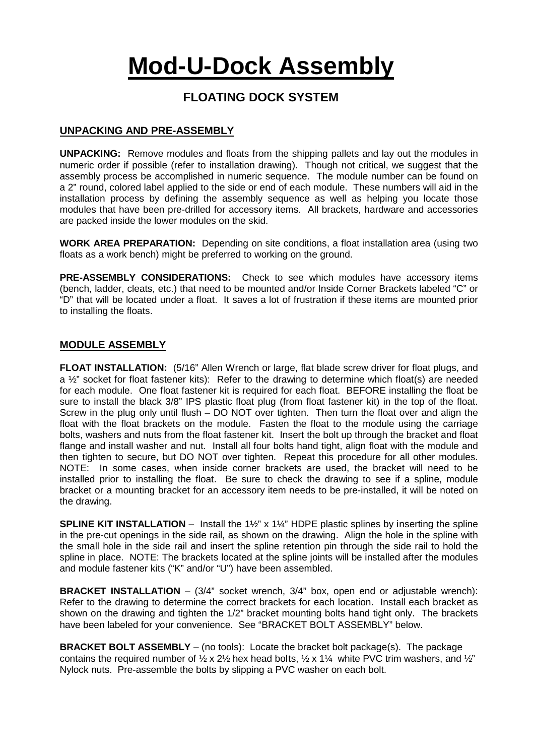# **Mod-U-Dock Assembly**

# **FLOATING DOCK SYSTEM**

## **UNPACKING AND PRE-ASSEMBLY**

**UNPACKING:** Remove modules and floats from the shipping pallets and lay out the modules in numeric order if possible (refer to installation drawing). Though not critical, we suggest that the assembly process be accomplished in numeric sequence. The module number can be found on a 2" round, colored label applied to the side or end of each module. These numbers will aid in the installation process by defining the assembly sequence as well as helping you locate those modules that have been pre-drilled for accessory items. All brackets, hardware and accessories are packed inside the lower modules on the skid.

**WORK AREA PREPARATION:** Depending on site conditions, a float installation area (using two floats as a work bench) might be preferred to working on the ground.

**PRE-ASSEMBLY CONSIDERATIONS:** Check to see which modules have accessory items (bench, ladder, cleats, etc.) that need to be mounted and/or Inside Corner Brackets labeled "C" or "D" that will be located under a float. It saves a lot of frustration if these items are mounted prior to installing the floats.

#### **MODULE ASSEMBLY**

**FLOAT INSTALLATION:** (5/16" Allen Wrench or large, flat blade screw driver for float plugs, and a ½" socket for float fastener kits): Refer to the drawing to determine which float(s) are needed for each module. One float fastener kit is required for each float. BEFORE installing the float be sure to install the black 3/8" IPS plastic float plug (from float fastener kit) in the top of the float. Screw in the plug only until flush – DO NOT over tighten. Then turn the float over and align the float with the float brackets on the module. Fasten the float to the module using the carriage bolts, washers and nuts from the float fastener kit. Insert the bolt up through the bracket and float flange and install washer and nut. Install all four bolts hand tight, align float with the module and then tighten to secure, but DO NOT over tighten. Repeat this procedure for all other modules. NOTE: In some cases, when inside corner brackets are used, the bracket will need to be installed prior to installing the float. Be sure to check the drawing to see if a spline, module bracket or a mounting bracket for an accessory item needs to be pre-installed, it will be noted on the drawing.

**SPLINE KIT INSTALLATION** – Install the 1½" x 1¼" HDPE plastic splines by inserting the spline in the pre-cut openings in the side rail, as shown on the drawing. Align the hole in the spline with the small hole in the side rail and insert the spline retention pin through the side rail to hold the spline in place. NOTE: The brackets located at the spline joints will be installed after the modules and module fastener kits ("K" and/or "U") have been assembled.

**BRACKET INSTALLATION** – (3/4" socket wrench, 3/4" box, open end or adjustable wrench): Refer to the drawing to determine the correct brackets for each location. Install each bracket as shown on the drawing and tighten the 1/2" bracket mounting bolts hand tight only. The brackets have been labeled for your convenience. See "BRACKET BOLT ASSEMBLY" below.

**BRACKET BOLT ASSEMBLY** – (no tools): Locate the bracket bolt package(s). The package contains the required number of  $\frac{1}{2} \times 2\frac{1}{2}$  hex head bolts,  $\frac{1}{2} \times 1\frac{1}{4}$  white PVC trim washers, and  $\frac{1}{2}$ " Nylock nuts. Pre-assemble the bolts by slipping a PVC washer on each bolt.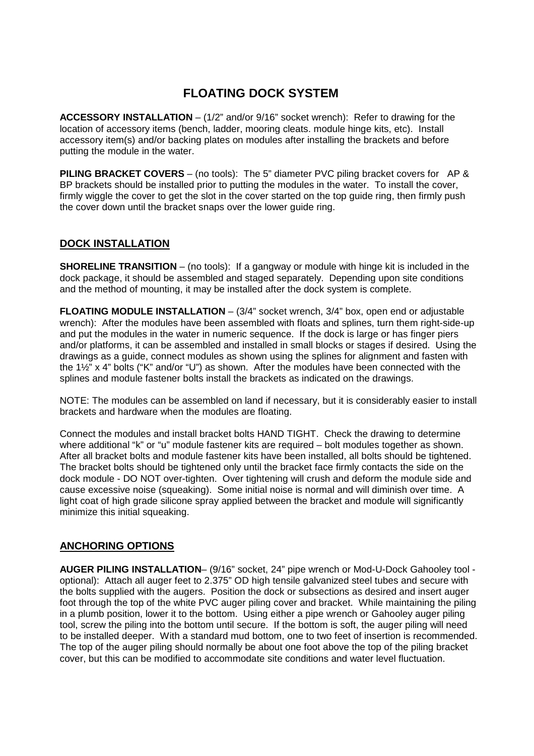# **FLOATING DOCK SYSTEM**

**ACCESSORY INSTALLATION** – (1/2" and/or 9/16" socket wrench): Refer to drawing for the location of accessory items (bench, ladder, mooring cleats. module hinge kits, etc). Install accessory item(s) and/or backing plates on modules after installing the brackets and before putting the module in the water.

**PILING BRACKET COVERS** – (no tools): The 5" diameter PVC piling bracket covers for AP & BP brackets should be installed prior to putting the modules in the water. To install the cover, firmly wiggle the cover to get the slot in the cover started on the top guide ring, then firmly push the cover down until the bracket snaps over the lower guide ring.

## **DOCK INSTALLATION**

**SHORELINE TRANSITION** – (no tools): If a gangway or module with hinge kit is included in the dock package, it should be assembled and staged separately. Depending upon site conditions and the method of mounting, it may be installed after the dock system is complete.

**FLOATING MODULE INSTALLATION** – (3/4" socket wrench, 3/4" box, open end or adjustable wrench): After the modules have been assembled with floats and splines, turn them right-side-up and put the modules in the water in numeric sequence. If the dock is large or has finger piers and/or platforms, it can be assembled and installed in small blocks or stages if desired. Using the drawings as a guide, connect modules as shown using the splines for alignment and fasten with the 1½" x 4" bolts ("K" and/or "U") as shown. After the modules have been connected with the splines and module fastener bolts install the brackets as indicated on the drawings.

NOTE: The modules can be assembled on land if necessary, but it is considerably easier to install brackets and hardware when the modules are floating.

Connect the modules and install bracket bolts HAND TIGHT. Check the drawing to determine where additional "k" or "u" module fastener kits are required - bolt modules together as shown. After all bracket bolts and module fastener kits have been installed, all bolts should be tightened. The bracket bolts should be tightened only until the bracket face firmly contacts the side on the dock module - DO NOT over-tighten. Over tightening will crush and deform the module side and cause excessive noise (squeaking). Some initial noise is normal and will diminish over time. A light coat of high grade silicone spray applied between the bracket and module will significantly minimize this initial squeaking.

#### **ANCHORING OPTIONS**

**AUGER PILING INSTALLATION**– (9/16" socket, 24" pipe wrench or Mod-U-Dock Gahooley tool optional): Attach all auger feet to 2.375" OD high tensile galvanized steel tubes and secure with the bolts supplied with the augers. Position the dock or subsections as desired and insert auger foot through the top of the white PVC auger piling cover and bracket. While maintaining the piling in a plumb position, lower it to the bottom. Using either a pipe wrench or Gahooley auger piling tool, screw the piling into the bottom until secure. If the bottom is soft, the auger piling will need to be installed deeper. With a standard mud bottom, one to two feet of insertion is recommended. The top of the auger piling should normally be about one foot above the top of the piling bracket cover, but this can be modified to accommodate site conditions and water level fluctuation.